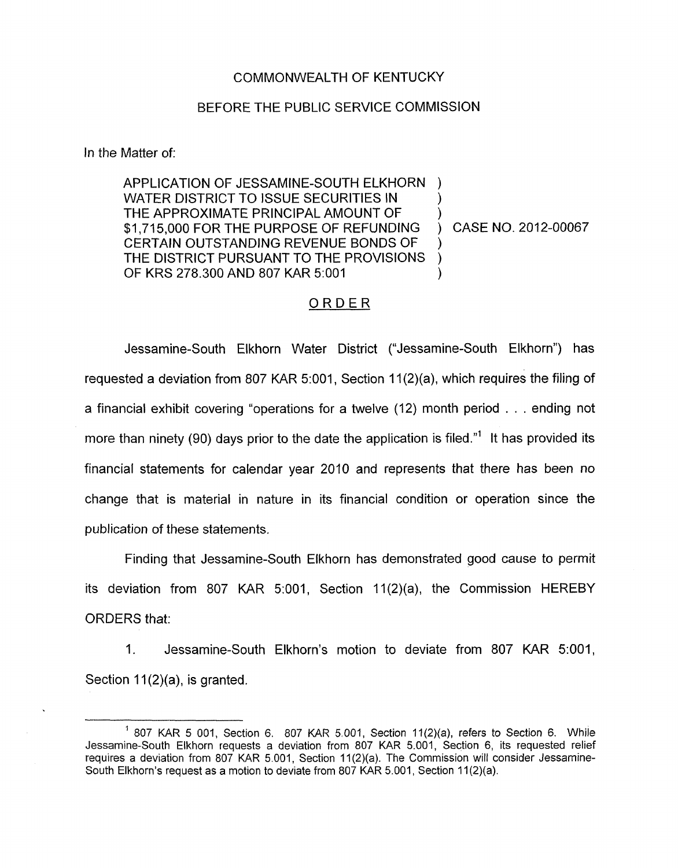## COMMONWEALTH OF KENTUCKY

## BEFORE THE PUBLIC SERVICE COMMISSION

In the Matter of:

APPLICATION OF JESSAMINE-SOUTH ELKHORN ) WATER DISTRICT TO ISSUE SECURITIES IN THE APPROXIMATE PRINCIPAL AMOUNT OF \$1,715,000 FOR THE PURPOSE OF REFUNDING ) CASE NO. 2012-00067 CERTAIN OUTSTANDING REVENUE BONDS OF THE DISTRICT PURSUANT TO THE PROVISIONS ) OF KRS 278.300 AND 807 KAR 5:OOl )  $\sum_{i=1}^{n}$ )

## ORDER

Jessamine-South Elkhorn Water District ("Jessamine-South Elkhorn") has requested a deviation from 807 KAR 5:001, Section  $11(2)(a)$ , which requires the filing of a financial exhibit covering "operations for a twelve (12) month period . . . ending not more than ninety (90) days prior to the date the application is filed."<sup>1</sup> It has provided its financial statements for calendar year 2010 and represents that there has been no change that is material in nature in its financial condition or operation since the publication of these statements.

Finding that Jessamine-South Elkhorn has demonstrated good cause to permit its deviation from 807 KAR 5:001, Section 11(2)(a), the Commission HEREBY ORDERS that:

1. Jessamine-South Elkhorn's motion to deviate from 807 KAR 5:001, Section  $11(2)(a)$ , is granted.

<sup>&</sup>lt;sup>1</sup> 807 KAR 5 001, Section 6. 807 KAR 5.001, Section 11(2)(a), refers to Section 6. While Jessamine-South Elkhorn requests a deviation from 807 KAR 5.001, Section 6, its requested relief requires a deviation from 807 KAR 5.001, Section 11(2)(a). The Commission will consider Jessamine-South Elkhorn's request as a motion to deviate from 807 KAR 5.001, Section 11(2)(a).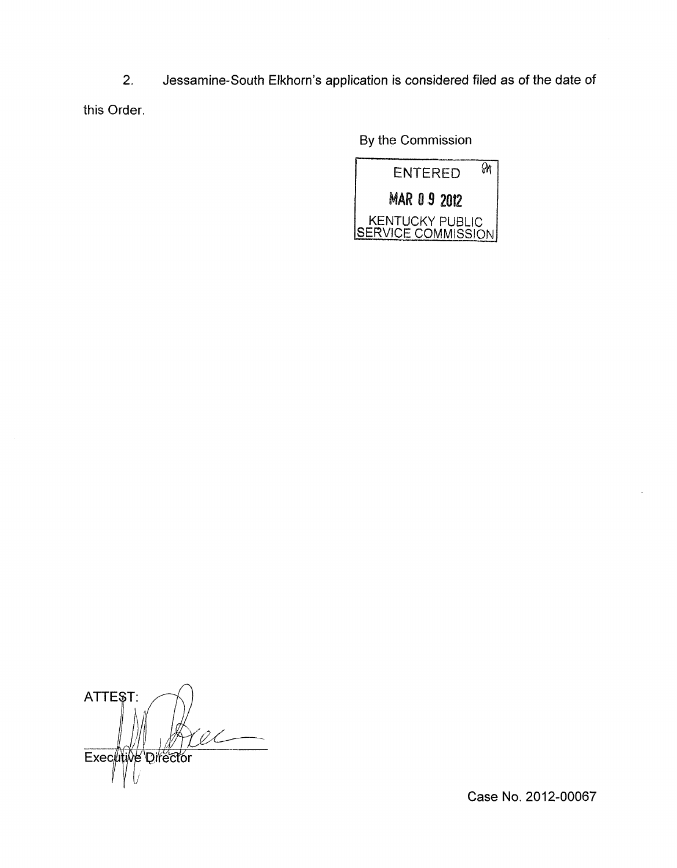2. Jessamine-South Elkhorn's application is considered filed as of the date of this Order

By the Commission



ATTEST: Executive Director

Case No. 2012-00067